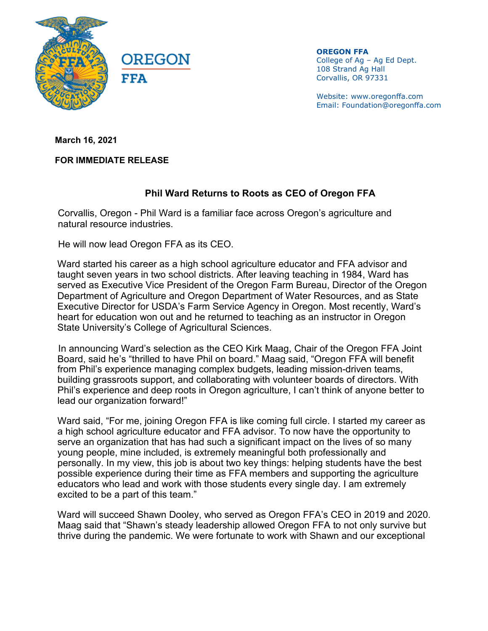

**OREGON FFA** College of Ag – Ag Ed Dept. 108 Strand Ag Hall Corvallis, OR 97331

Website: www.oregonffa.com Email: Foundation@oregonffa.com

**March 16, 2021**

**FOR IMMEDIATE RELEASE**

## **Phil Ward Returns to Roots as CEO of Oregon FFA**

Corvallis, Oregon - Phil Ward is a familiar face across Oregon's agriculture and natural resource industries.

He will now lead Oregon FFA as its CEO.

Ward started his career as a high school agriculture educator and FFA advisor and taught seven years in two school districts. After leaving teaching in 1984, Ward has served as Executive Vice President of the Oregon Farm Bureau, Director of the Oregon Department of Agriculture and Oregon Department of Water Resources, and as State Executive Director for USDA's Farm Service Agency in Oregon. Most recently, Ward's heart for education won out and he returned to teaching as an instructor in Oregon State University's College of Agricultural Sciences.

In announcing Ward's selection as the CEO Kirk Maag, Chair of the Oregon FFA Joint Board, said he's "thrilled to have Phil on board." Maag said, "Oregon FFA will benefit from Phil's experience managing complex budgets, leading mission-driven teams, building grassroots support, and collaborating with volunteer boards of directors. With Phil's experience and deep roots in Oregon agriculture, I can't think of anyone better to lead our organization forward!"

Ward said, "For me, joining Oregon FFA is like coming full circle. I started my career as a high school agriculture educator and FFA advisor. To now have the opportunity to serve an organization that has had such a significant impact on the lives of so many young people, mine included, is extremely meaningful both professionally and personally. In my view, this job is about two key things: helping students have the best possible experience during their time as FFA members and supporting the agriculture educators who lead and work with those students every single day. I am extremely excited to be a part of this team."

Ward will succeed Shawn Dooley, who served as Oregon FFA's CEO in 2019 and 2020. Maag said that "Shawn's steady leadership allowed Oregon FFA to not only survive but thrive during the pandemic. We were fortunate to work with Shawn and our exceptional